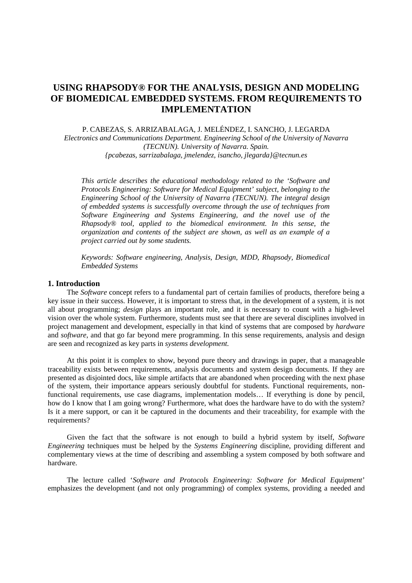# **USING RHAPSODY® FOR THE ANALYSIS, DESIGN AND MODELING OF BIOMEDICAL EMBEDDED SYSTEMS. FROM REQUIREMENTS TO IMPLEMENTATION**

P. CABEZAS, S. ARRIZABALAGA, J. MELÉNDEZ, I. SANCHO, J. LEGARDA

*Electronics and Communications Department. Engineering School of the University of Navarra (TECNUN). University of Navarra. Spain.* 

*{pcabezas, sarrizabalaga, jmelendez, isancho, jlegarda}@tecnun.es*

*This article describes the educational methodology related to the 'Software and Protocols Engineering: Software for Medical Equipment' subject, belonging to the Engineering School of the University of Navarra (TECNUN). The integral design of embedded systems is successfully overcome through the use of techniques from Software Engineering and Systems Engineering, and the novel use of the Rhapsody® tool, applied to the biomedical environment. In this sense, the organization and contents of the subject are shown, as well as an example of a project carried out by some students.* 

*Keywords: Software engineering, Analysis, Design, MDD, Rhapsody, Biomedical Embedded Systems* 

## **1. Introduction**

The *Software* concept refers to a fundamental part of certain families of products, therefore being a key issue in their success. However, it is important to stress that, in the development of a system, it is not all about programming; *design* plays an important role, and it is necessary to count with a high-level vision over the whole system. Furthermore, students must see that there are several disciplines involved in project management and development, especially in that kind of systems that are composed by *hardware* and *software*, and that go far beyond mere programming. In this sense requirements, analysis and design are seen and recognized as key parts in *systems development*.

At this point it is complex to show, beyond pure theory and drawings in paper, that a manageable traceability exists between requirements, analysis documents and system design documents. If they are presented as disjointed docs, like simple artifacts that are abandoned when proceeding with the next phase of the system, their importance appears seriously doubtful for students. Functional requirements, nonfunctional requirements, use case diagrams, implementation models… If everything is done by pencil, how do I know that I am going wrong? Furthermore, what does the hardware have to do with the system? Is it a mere support, or can it be captured in the documents and their traceability, for example with the requirements?

Given the fact that the software is not enough to build a hybrid system by itself, *Software Engineering* techniques must be helped by the *Systems Engineering* discipline, providing different and complementary views at the time of describing and assembling a system composed by both software and hardware.

The lecture called '*Software and Protocols Engineering: Software for Medical Equipment*' emphasizes the development (and not only programming) of complex systems, providing a needed and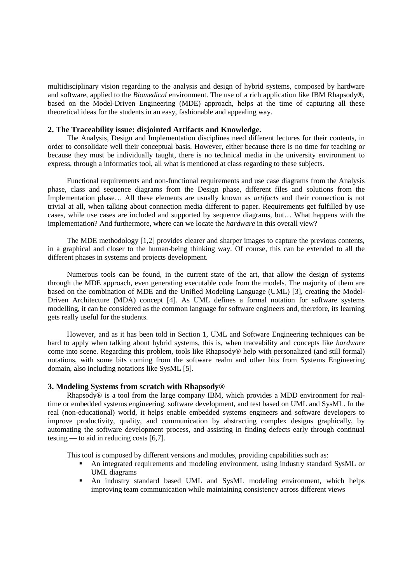multidisciplinary vision regarding to the analysis and design of hybrid systems, composed by hardware and software, applied to the *Biomedical* environment. The use of a rich application like IBM Rhapsody®, based on the Model-Driven Engineering (MDE) approach, helps at the time of capturing all these theoretical ideas for the students in an easy, fashionable and appealing way.

#### **2. The Traceability issue: disjointed Artifacts and Knowledge.**

The Analysis, Design and Implementation disciplines need different lectures for their contents, in order to consolidate well their conceptual basis. However, either because there is no time for teaching or because they must be individually taught, there is no technical media in the university environment to express, through a informatics tool, all what is mentioned at class regarding to these subjects.

Functional requirements and non-functional requirements and use case diagrams from the Analysis phase, class and sequence diagrams from the Design phase, different files and solutions from the Implementation phase… All these elements are usually known as *artifacts* and their connection is not trivial at all, when talking about connection media different to paper. Requirements get fulfilled by use cases, while use cases are included and supported by sequence diagrams, but… What happens with the implementation? And furthermore, where can we locate the *hardware* in this overall view?

The MDE methodology [1,2] provides clearer and sharper images to capture the previous contents, in a graphical and closer to the human-being thinking way. Of course, this can be extended to all the different phases in systems and projects development.

Numerous tools can be found, in the current state of the art, that allow the design of systems through the MDE approach, even generating executable code from the models. The majority of them are based on the combination of MDE and the Unified Modeling Language (UML) [3], creating the Model-Driven Architecture (MDA) concept [4]. As UML defines a formal notation for software systems modelling, it can be considered as the common language for software engineers and, therefore, its learning gets really useful for the students.

However, and as it has been told in Section 1, UML and Software Engineering techniques can be hard to apply when talking about hybrid systems, this is, when traceability and concepts like *hardware* come into scene. Regarding this problem, tools like Rhapsody® help with personalized (and still formal) notations, with some bits coming from the software realm and other bits from Systems Engineering domain, also including notations like SysML [5].

#### **3. Modeling Systems from scratch with Rhapsody®**

Rhapsody® is a tool from the large company IBM, which provides a MDD environment for realtime or embedded systems engineering, software development, and test based on UML and SysML. In the real (non-educational) world, it helps enable embedded systems engineers and software developers to improve productivity, quality, and communication by abstracting complex designs graphically, by automating the software development process, and assisting in finding defects early through continual testing — to aid in reducing costs [6,7].

This tool is composed by different versions and modules, providing capabilities such as:

- An integrated requirements and modeling environment, using industry standard SysML or UML diagrams
- An industry standard based UML and SysML modeling environment, which helps improving team communication while maintaining consistency across different views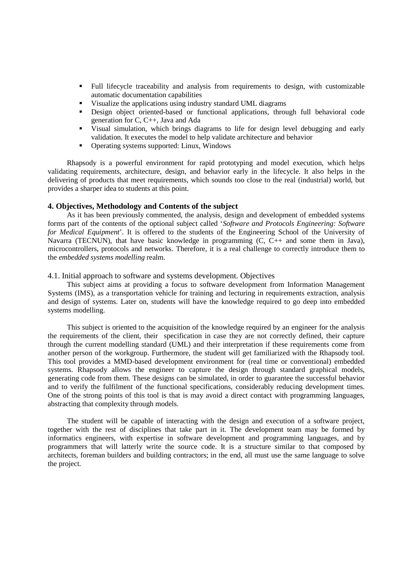- Full lifecycle traceability and analysis from requirements to design, with customizable automatic documentation capabilities
- Visualize the applications using industry standard UML diagrams
- Design object oriented-based or functional applications, through full behavioral code generation for C, C++, Java and Ada
- Visual simulation, which brings diagrams to life for design level debugging and early validation. It executes the model to help validate architecture and behavior
- Operating systems supported: Linux, Windows

Rhapsody is a powerful environment for rapid prototyping and model execution, which helps validating requirements, architecture, design, and behavior early in the lifecycle. It also helps in the delivering of products that meet requirements, which sounds too close to the real (industrial) world, but provides a sharper idea to students at this point.

#### **4. Objectives, Methodology and Contents of the subject**

As it has been previously commented, the analysis, design and development of embedded systems forms part of the contents of the optional subject called '*Software and Protocols Engineering: Software for Medical Equipment*'. It is offered to the students of the Engineering School of the University of Navarra (TECNUN), that have basic knowledge in programming  $(C, C_{++}$  and some them in Java), microcontrollers, protocols and networks. Therefore, it is a real challenge to correctly introduce them to the *embedded systems modelling* realm.

#### 4.1. Initial approach to software and systems development. Objectives

This subject aims at providing a focus to software development from Information Management Systems (IMS), as a transportation vehicle for training and lecturing in requirements extraction, analysis and design of systems. Later on, students will have the knowledge required to go deep into embedded systems modelling.

This subject is oriented to the acquisition of the knowledge required by an engineer for the analysis the requirements of the client, their specification in case they are not correctly defined, their capture through the current modelling standard (UML) and their interpretation if these requirements come from another person of the workgroup. Furthermore, the student will get familiarized with the Rhapsody tool. This tool provides a MMD-based development environment for (real time or conventional) embedded systems. Rhapsody allows the engineer to capture the design through standard graphical models, generating code from them. These designs can be simulated, in order to guarantee the successful behavior and to verify the fulfilment of the functional specifications, considerably reducing development times. One of the strong points of this tool is that is may avoid a direct contact with programming languages, abstracting that complexity through models.

The student will be capable of interacting with the design and execution of a software project, together with the rest of disciplines that take part in it. The development team may be formed by informatics engineers, with expertise in software development and programming languages, and by programmers that will latterly write the source code. It is a structure similar to that composed by architects, foreman builders and building contractors; in the end, all must use the same language to solve the project.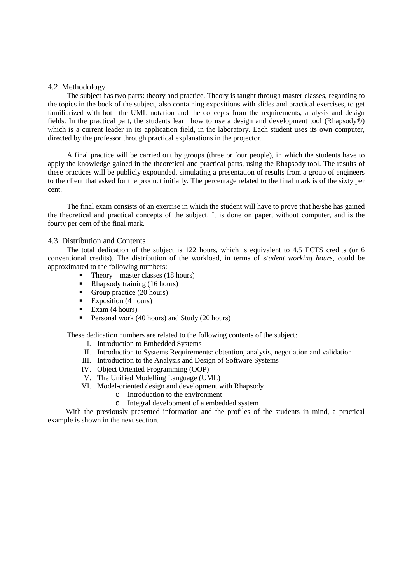### 4.2. Methodology

The subject has two parts: theory and practice. Theory is taught through master classes, regarding to the topics in the book of the subject, also containing expositions with slides and practical exercises, to get familiarized with both the UML notation and the concepts from the requirements, analysis and design fields. In the practical part, the students learn how to use a design and development tool (Rhapsody®) which is a current leader in its application field, in the laboratory. Each student uses its own computer, directed by the professor through practical explanations in the projector.

A final practice will be carried out by groups (three or four people), in which the students have to apply the knowledge gained in the theoretical and practical parts, using the Rhapsody tool. The results of these practices will be publicly expounded, simulating a presentation of results from a group of engineers to the client that asked for the product initially. The percentage related to the final mark is of the sixty per cent.

The final exam consists of an exercise in which the student will have to prove that he/she has gained the theoretical and practical concepts of the subject. It is done on paper, without computer, and is the fourty per cent of the final mark.

#### 4.3. Distribution and Contents

The total dedication of the subject is 122 hours, which is equivalent to 4.5 ECTS credits (or 6 conventional credits). The distribution of the workload, in terms of *student working hours*, could be approximated to the following numbers:

- $\blacksquare$  Theory master classes (18 hours)
- Rhapsody training (16 hours)
- Group practice  $(20 \text{ hours})$
- $\blacksquare$  Exposition (4 hours)
- Exam (4 hours)
- Personal work (40 hours) and Study (20 hours)

These dedication numbers are related to the following contents of the subject:

- I. Introduction to Embedded Systems
- II. Introduction to Systems Requirements: obtention, analysis, negotiation and validation
- III. Introduction to the Analysis and Design of Software Systems
- IV. Object Oriented Programming (OOP)
- V. The Unified Modelling Language (UML)
- VI. Model-oriented design and development with Rhapsody
	- o Introduction to the environment
	- o Integral development of a embedded system

With the previously presented information and the profiles of the students in mind, a practical example is shown in the next section.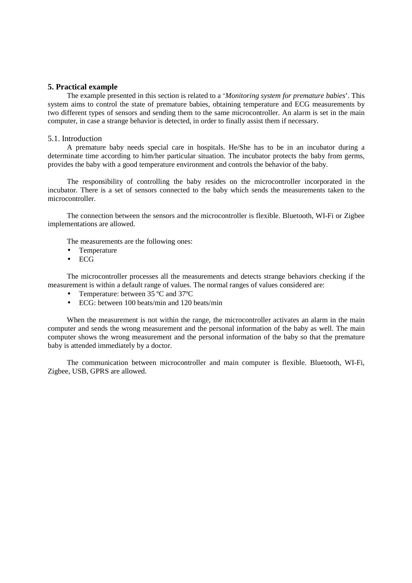## **5. Practical example**

The example presented in this section is related to a '*Monitoring system for premature babies*'. This system aims to control the state of premature babies, obtaining temperature and ECG measurements by two different types of sensors and sending them to the same microcontroller. An alarm is set in the main computer, in case a strange behavior is detected, in order to finally assist them if necessary.

#### 5.1. Introduction

A premature baby needs special care in hospitals. He/She has to be in an incubator during a determinate time according to him/her particular situation. The incubator protects the baby from germs, provides the baby with a good temperature environment and controls the behavior of the baby.

The responsibility of controlling the baby resides on the microcontroller incorporated in the incubator. There is a set of sensors connected to the baby which sends the measurements taken to the microcontroller.

The connection between the sensors and the microcontroller is flexible. Bluetooth, WI-Fi or Zigbee implementations are allowed.

The measurements are the following ones:

- Temperature
- ECG

The microcontroller processes all the measurements and detects strange behaviors checking if the measurement is within a default range of values. The normal ranges of values considered are:

- Temperature: between 35 ºC and 37ºC
- ECG: between 100 beats/min and 120 beats/min

When the measurement is not within the range, the microcontroller activates an alarm in the main computer and sends the wrong measurement and the personal information of the baby as well. The main computer shows the wrong measurement and the personal information of the baby so that the premature baby is attended immediately by a doctor.

The communication between microcontroller and main computer is flexible. Bluetooth, WI-Fi, Zigbee, USB, GPRS are allowed.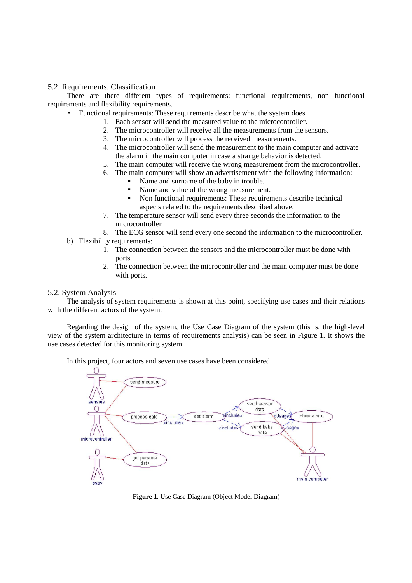## 5.2. Requirements. Classification

There are there different types of requirements: functional requirements, non functional requirements and flexibility requirements.

• Functional requirements: These requirements describe what the system does.

- 1. Each sensor will send the measured value to the microcontroller.
- 2. The microcontroller will receive all the measurements from the sensors.
- 3. The microcontroller will process the received measurements.
- 4. The microcontroller will send the measurement to the main computer and activate the alarm in the main computer in case a strange behavior is detected.
- 5. The main computer will receive the wrong measurement from the microcontroller.
- 6. The main computer will show an advertisement with the following information:
	- Name and surname of the baby in trouble.
	- Name and value of the wrong measurement.
	- Non functional requirements: These requirements describe technical aspects related to the requirements described above.
- 7. The temperature sensor will send every three seconds the information to the microcontroller
- 8. The ECG sensor will send every one second the information to the microcontroller.
- b) Flexibility requirements:
	- 1. The connection between the sensors and the microcontroller must be done with ports.
	- 2. The connection between the microcontroller and the main computer must be done with ports.

## 5.2. System Analysis

The analysis of system requirements is shown at this point, specifying use cases and their relations with the different actors of the system.

Regarding the design of the system, the Use Case Diagram of the system (this is, the high-level view of the system architecture in terms of requirements analysis) can be seen in Figure 1. It shows the use cases detected for this monitoring system.

In this project, four actors and seven use cases have been considered.



**Figure 1**. Use Case Diagram (Object Model Diagram)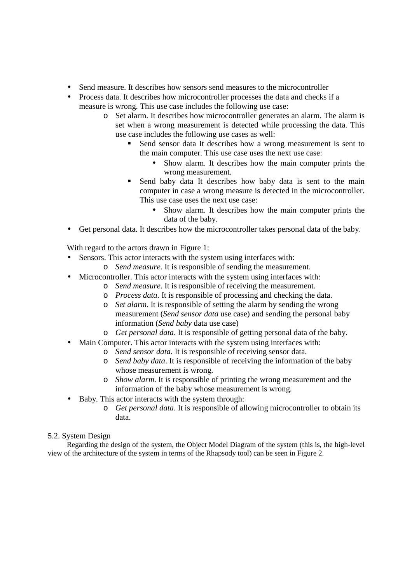- Send measure. It describes how sensors send measures to the microcontroller
- Process data. It describes how microcontroller processes the data and checks if a measure is wrong. This use case includes the following use case:
	- o Set alarm. It describes how microcontroller generates an alarm. The alarm is set when a wrong measurement is detected while processing the data. This use case includes the following use cases as well:
		- Send sensor data It describes how a wrong measurement is sent to the main computer. This use case uses the next use case:
			- Show alarm. It describes how the main computer prints the wrong measurement.
		- Send baby data It describes how baby data is sent to the main computer in case a wrong measure is detected in the microcontroller. This use case uses the next use case:
			- Show alarm. It describes how the main computer prints the data of the baby.
- Get personal data. It describes how the microcontroller takes personal data of the baby.

With regard to the actors drawn in Figure 1:

- Sensors. This actor interacts with the system using interfaces with:
	- o *Send measure*. It is responsible of sending the measurement.
- Microcontroller. This actor interacts with the system using interfaces with:
	- o *Send measure*. It is responsible of receiving the measurement.
		- o *Process data*. It is responsible of processing and checking the data.
		- o *Set alarm*. It is responsible of setting the alarm by sending the wrong measurement (*Send sensor data* use case) and sending the personal baby information (*Send baby* data use case)
		- o *Get personal data*. It is responsible of getting personal data of the baby.
- Main Computer. This actor interacts with the system using interfaces with:
	- o *Send sensor data*. It is responsible of receiving sensor data.
	- o *Send baby data*. It is responsible of receiving the information of the baby whose measurement is wrong.
	- o *Show alarm*. It is responsible of printing the wrong measurement and the information of the baby whose measurement is wrong.
- Baby. This actor interacts with the system through:
	- o *Get personal data*. It is responsible of allowing microcontroller to obtain its data.

## 5.2. System Design

Regarding the design of the system, the Object Model Diagram of the system (this is, the high-level view of the architecture of the system in terms of the Rhapsody tool) can be seen in Figure 2.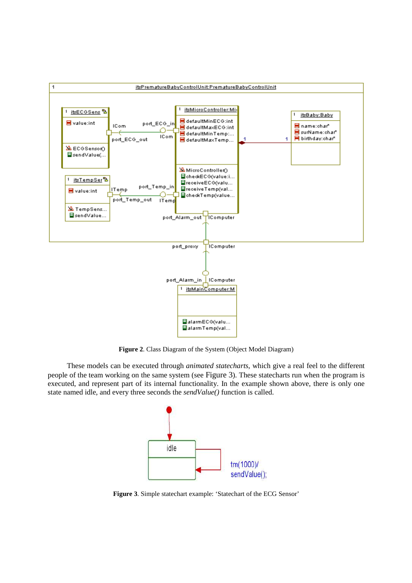

**Figure 2**. Class Diagram of the System (Object Model Diagram)

These models can be executed through *animated statecharts*, which give a real feel to the different people of the team working on the same system (see Figure 3). These statecharts run when the program is executed, and represent part of its internal functionality. In the example shown above, there is only one state named idle, and every three seconds the *sendValue()* function is called.



**Figure 3**. Simple statechart example: 'Statechart of the ECG Sensor'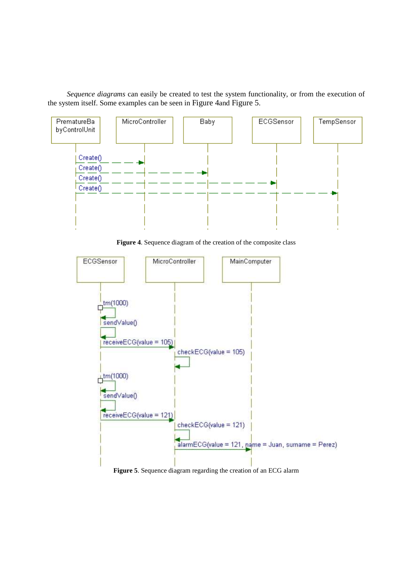*Sequence diagrams* can easily be created to test the system functionality, or from the execution of the system itself. Some examples can be seen in Figure 4and Figure 5.



**Figure 4**. Sequence diagram of the creation of the composite class



**Figure 5**. Sequence diagram regarding the creation of an ECG alarm